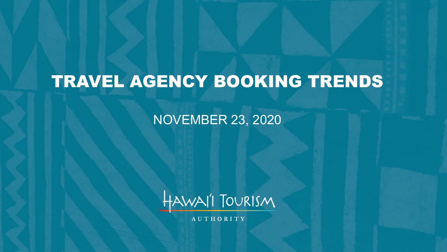# TRAVEL AGENCY BOOKING TRENDS

NOVEMBER 23, 2020



AUTHORITY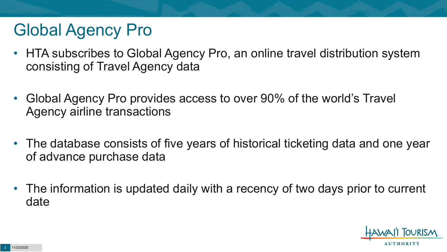# Global Agency Pro

- HTA subscribes to Global Agency Pro, an online travel distribution system consisting of Travel Agency data
- Global Agency Pro provides access to over 90% of the world's Travel Agency airline transactions
- The database consists of five years of historical ticketing data and one year of advance purchase data
- The information is updated daily with a recency of two days prior to current date

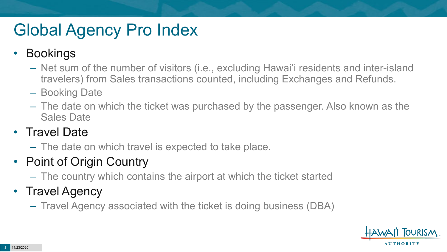# Global Agency Pro Index

#### • Bookings

- Net sum of the number of visitors (i.e., excluding Hawai'i residents and inter-island travelers) from Sales transactions counted, including Exchanges and Refunds.
- Booking Date
- The date on which the ticket was purchased by the passenger. Also known as the Sales Date

#### • Travel Date

– The date on which travel is expected to take place.

### • Point of Origin Country

– The country which contains the airport at which the ticket started

### • Travel Agency

– Travel Agency associated with the ticket is doing business (DBA)

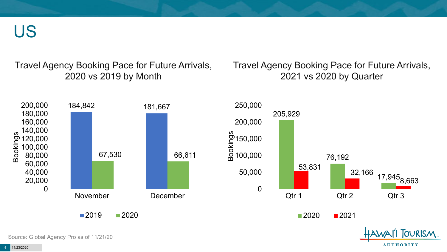US

Travel Agency Booking Pace for Future Arrivals, 2020 vs 2019 by Month

Travel Agency Booking Pace for Future Arrivals, 2021 vs 2020 by Quarter

**AUTHORITY** 



Source: Global Agency Pro as of 11/21/20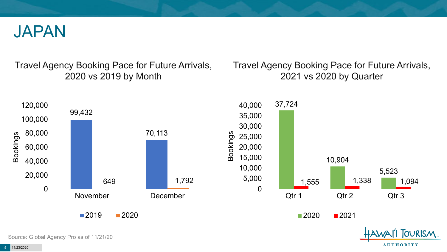

Travel Agency Booking Pace for Future Arrivals, 2020 vs 2019 by Month

Travel Agency Booking Pace for Future Arrivals, 2021 vs 2020 by Quarter

**AUTHORITY** 



Source: Global Agency Pro as of 11/21/20

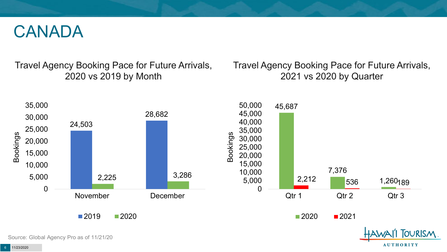

Travel Agency Booking Pace for Future Arrivals, 2020 vs 2019 by Month

Travel Agency Booking Pace for Future Arrivals, 2021 vs 2020 by Quarter

**AUTHORITY** 



Source: Global Agency Pro as of 11/21/20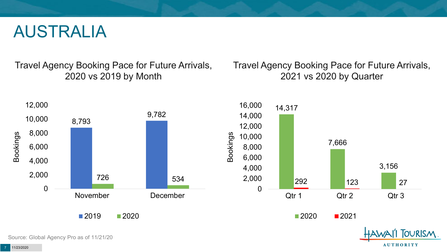### AUSTRALIA

Travel Agency Booking Pace for Future Arrivals, 2020 vs 2019 by Month

Travel Agency Booking Pace for Future Arrivals, 2021 vs 2020 by Quarter

**AUTHORITY** 



Source: Global Agency Pro as of 11/21/20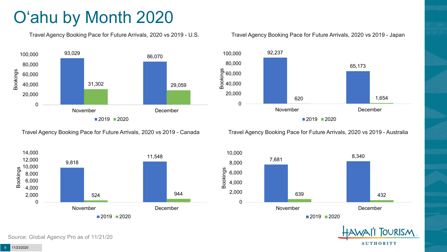# O'ahu by Month 2020

Travel Agency Booking Pace for Future Arrivals, 2020 vs 2019 - U.S.



Travel Agency Booking Pace for Future Arrivals, 2020 vs 2019 - Canada



Source: Global Agency Pro as of 11/21/20

#### Travel Agency Booking Pace for Future Arrivals, 2020 vs 2019 - Japan



Travel Agency Booking Pace for Future Arrivals, 2020 vs 2019 - Australia



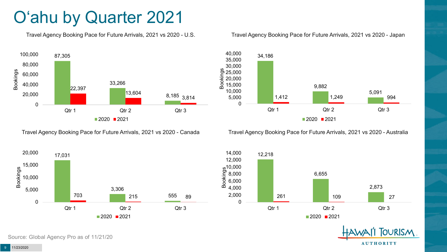## O'ahu by Quarter 2021

Travel Agency Booking Pace for Future Arrivals, 2021 vs 2020 - U.S.



Travel Agency Booking Pace for Future Arrivals, 2021 vs 2020 - Canada





Travel Agency Booking Pace for Future Arrivals, 2021 vs 2020 - Australia







Source: Global Agency Pro as of 11/21/20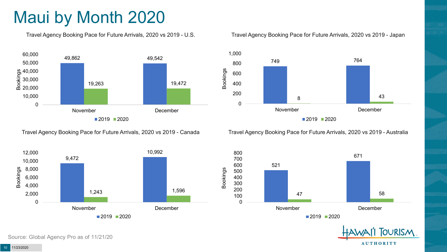# Maui by Month 2020

Travel Agency Booking Pace for Future Arrivals, 2020 vs 2019 - U.S.



Travel Agency Booking Pace for Future Arrivals, 2020 vs 2019 - Canada



Travel Agency Booking Pace for Future Arrivals, 2020 vs 2019 - Japan



Travel Agency Booking Pace for Future Arrivals, 2020 vs 2019 - Australia





Source: Global Agency Pro as of 11/21/20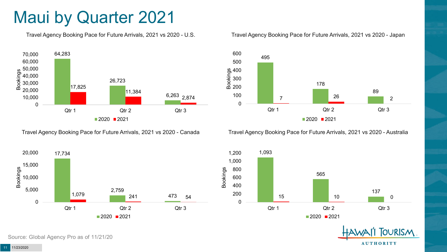## Maui by Quarter 2021

Travel Agency Booking Pace for Future Arrivals, 2021 vs 2020 - U.S.



Travel Agency Booking Pace for Future Arrivals, 2021 vs 2020 - Canada





Travel Agency Booking Pace for Future Arrivals, 2021 vs 2020 - Australia



1,093 565 137 15 10 0 0 200 400 600 800 1,000 1,200 Qtr 1 Qtr 2 Qtr 2 Qtr 3  $2020$  2021



Source: Global Agency Pro as of 11/21/20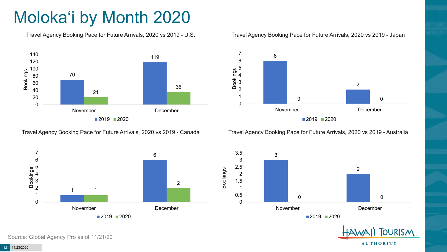# Moloka'i by Month 2020

Travel Agency Booking Pace for Future Arrivals, 2020 vs 2019 - U.S.



Travel Agency Booking Pace for Future Arrivals, 2020 vs 2019 - Canada



#### Travel Agency Booking Pace for Future Arrivals, 2020 vs 2019 - Japan



Travel Agency Booking Pace for Future Arrivals, 2020 vs 2019 - Australia



![](_page_11_Picture_9.jpeg)

Source: Global Agency Pro as of 11/21/20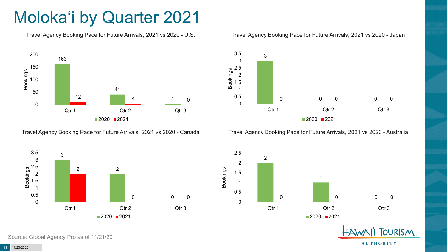# Moloka'i by Quarter 2021

Travel Agency Booking Pace for Future Arrivals, 2021 vs 2020 - U.S.

![](_page_12_Figure_2.jpeg)

Travel Agency Booking Pace for Future Arrivals, 2021 vs 2020 - Canada

![](_page_12_Figure_4.jpeg)

3

3 3.5

#### Travel Agency Booking Pace for Future Arrivals, 2021 vs 2020 - Japan

Travel Agency Booking Pace for Future Arrivals, 2021 vs 2020 - Australia

![](_page_12_Figure_7.jpeg)

![](_page_12_Figure_8.jpeg)

![](_page_12_Picture_9.jpeg)

Source: Global Agency Pro as of 11/21/20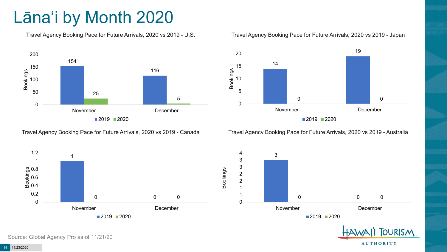# Lāna'i by Month 2020

Travel Agency Booking Pace for Future Arrivals, 2020 vs 2019 - U.S.

![](_page_13_Figure_2.jpeg)

Travel Agency Booking Pace for Future Arrivals, 2020 vs 2019 - Canada

![](_page_13_Figure_4.jpeg)

![](_page_13_Figure_5.jpeg)

Travel Agency Booking Pace for Future Arrivals, 2020 vs 2019 - Australia

**AUTHORITY** 

![](_page_13_Figure_7.jpeg)

Source: Global Agency Pro as of 11/21/20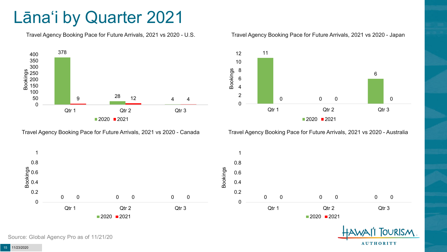## Lāna'i by Quarter 2021

Travel Agency Booking Pace for Future Arrivals, 2021 vs 2020 - U.S.

![](_page_14_Figure_2.jpeg)

Travel Agency Booking Pace for Future Arrivals, 2021 vs 2020 - Canada

![](_page_14_Figure_4.jpeg)

![](_page_14_Figure_5.jpeg)

Travel Agency Booking Pace for Future Arrivals, 2021 vs 2020 - Australia

![](_page_14_Figure_7.jpeg)

![](_page_14_Picture_8.jpeg)

Source: Global Agency Pro as of 11/21/20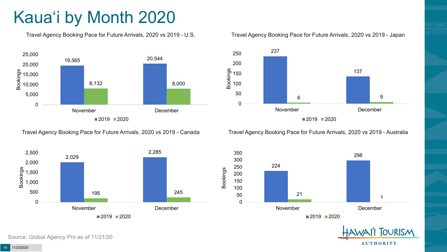# Kaua'i by Month 2020

Travel Agency Booking Pace for Future Arrivals, 2020 vs 2019 - U.S.

![](_page_15_Figure_2.jpeg)

Travel Agency Booking Pace for Future Arrivals, 2020 vs 2019 - Canada

![](_page_15_Figure_4.jpeg)

Travel Agency Booking Pace for Future Arrivals, 2020 vs 2019 - Japan

![](_page_15_Figure_6.jpeg)

Travel Agency Booking Pace for Future Arrivals, 2020 vs 2019 - Australia

![](_page_15_Figure_8.jpeg)

![](_page_15_Picture_9.jpeg)

Source: Global Agency Pro as of 11/21/20

11/23/2020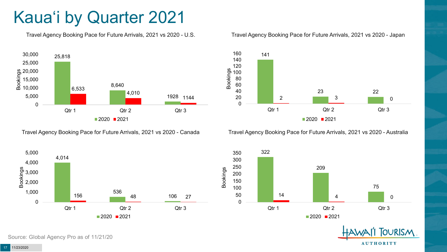# Kaua'i by Quarter 2021

Travel Agency Booking Pace for Future Arrivals, 2021 vs 2020 - U.S.

![](_page_16_Figure_2.jpeg)

Travel Agency Booking Pace for Future Arrivals, 2021 vs 2020 - Canada

![](_page_16_Figure_4.jpeg)

![](_page_16_Figure_5.jpeg)

Travel Agency Booking Pace for Future Arrivals, 2021 vs 2020 - Australia

![](_page_16_Figure_7.jpeg)

![](_page_16_Figure_8.jpeg)

**TOURISM** 

**AUTHORITY** 

Source: Global Agency Pro as of 11/21/20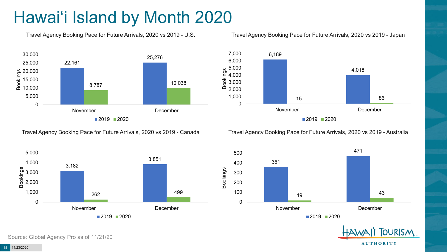# Hawai'i Island by Month 2020

Travel Agency Booking Pace for Future Arrivals, 2020 vs 2019 - U.S.

![](_page_17_Figure_2.jpeg)

Travel Agency Booking Pace for Future Arrivals, 2020 vs 2019 - Canada

![](_page_17_Figure_4.jpeg)

![](_page_17_Figure_5.jpeg)

Travel Agency Booking Pace for Future Arrivals, 2020 vs 2019 - Australia

![](_page_17_Figure_7.jpeg)

![](_page_17_Figure_8.jpeg)

![](_page_17_Picture_9.jpeg)

Source: Global Agency Pro as of 11/21/20